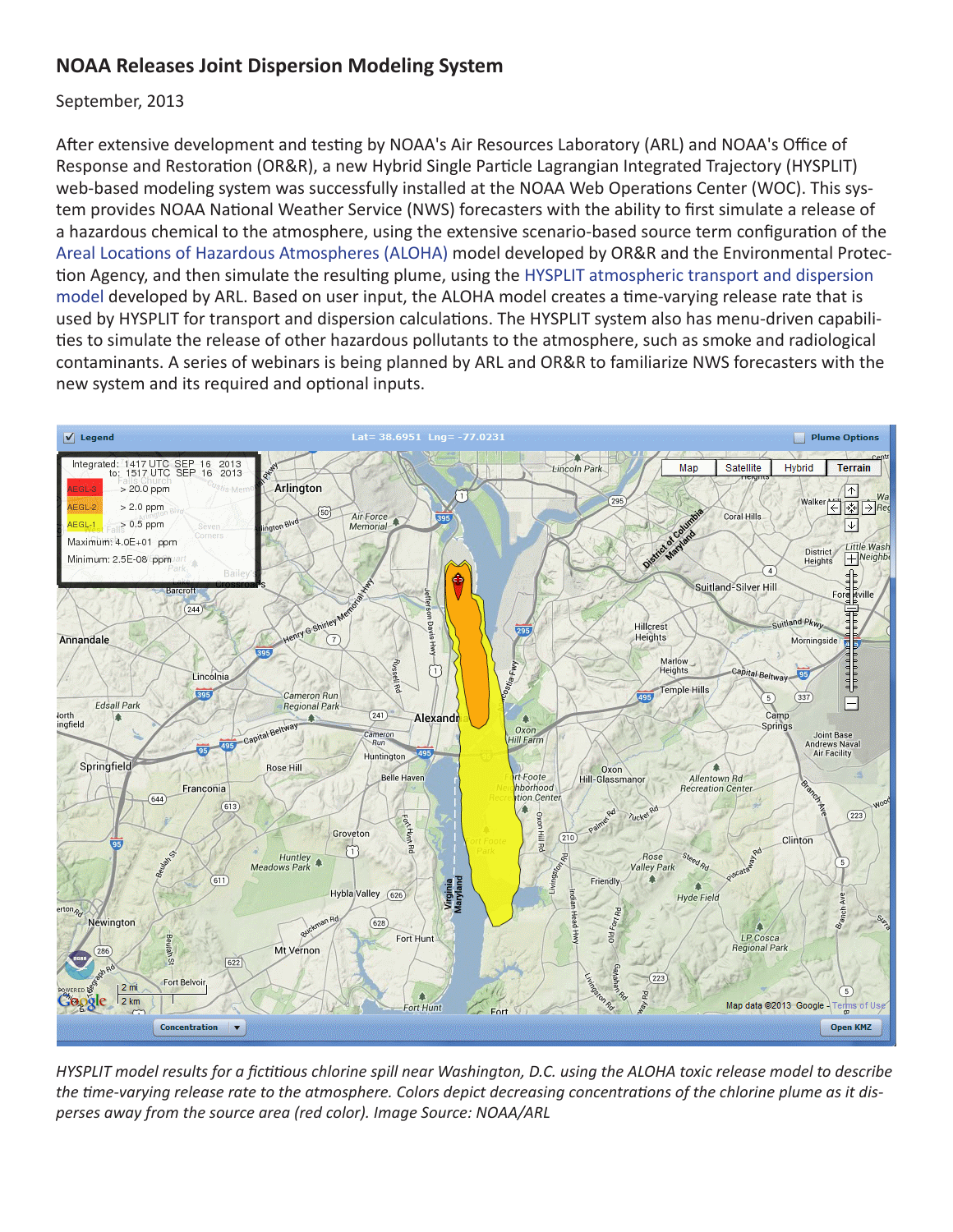## **NOAA Releases Joint Dispersion Modeling System**

September, 2013

After extensive development and testing by NOAA's Air Resources Laboratory (ARL) and NOAA's Office of Response and Restoration (OR&R), a new Hybrid Single Particle Lagrangian Integrated Trajectory (HYSPLIT) web-based modeling system was successfully installed at the NOAA Web Operations Center (WOC). This system provides NOAA National Weather Service (NWS) forecasters with the ability to first simulate a release of a hazardous chemical to the atmosphere, using the extensive scenario-based source term configuration of the [Areal Locations of Hazardous Atmospheres \(ALOHA\)](http://response.restoration.noaa.gov/aloha) model developed by OR&R and the Environmental Protection Agency, and then simulate the resulting plume, using the [HYSPLIT atmospheric transport and dispersion](http://www.arl.noaa.gov/HYSPLIT_info.php)  [model](http://www.arl.noaa.gov/HYSPLIT_info.php) developed by ARL. Based on user input, the ALOHA model creates a time-varying release rate that is used by HYSPLIT for transport and dispersion calculations. The HYSPLIT system also has menu-driven capabilities to simulate the release of other hazardous pollutants to the atmosphere, such as smoke and radiological contaminants. A series of webinars is being planned by ARL and OR&R to familiarize NWS forecasters with the new system and its required and optional inputs.



*HYSPLIT model results for a fictitious chlorine spill near Washington, D.C. using the ALOHA toxic release model to describe the time-varying release rate to the atmosphere. Colors depict decreasing concentrations of the chlorine plume as it disperses away from the source area (red color). Image Source: NOAA/ARL*